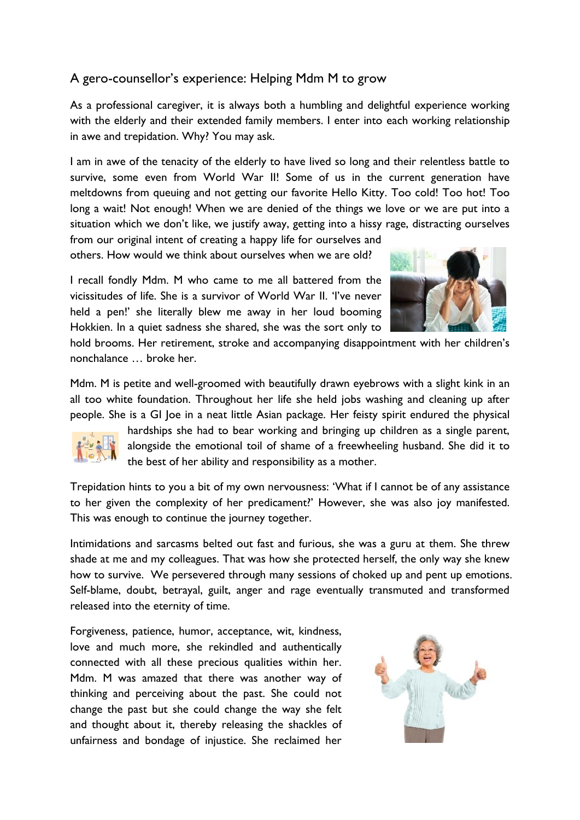## A gero-counsellor's experience: Helping Mdm M to grow

As a professional caregiver, it is always both a humbling and delightful experience working with the elderly and their extended family members. I enter into each working relationship in awe and trepidation. Why? You may ask.

I am in awe of the tenacity of the elderly to have lived so long and their relentless battle to survive, some even from World War II! Some of us in the current generation have meltdowns from queuing and not getting our favorite Hello Kitty. Too cold! Too hot! Too long a wait! Not enough! When we are denied of the things we love or we are put into a situation which we don't like, we justify away, getting into a hissy rage, distracting ourselves

from our original intent of creating a happy life for ourselves and others. How would we think about ourselves when we are old?

I recall fondly Mdm. M who came to me all battered from the vicissitudes of life. She is a survivor of World War II. 'I've never held a pen!' she literally blew me away in her loud booming Hokkien. In a quiet sadness she shared, she was the sort only to



hold brooms. Her retirement, stroke and accompanying disappointment with her children's nonchalance … broke her.

Mdm. M is petite and well-groomed with beautifully drawn eyebrows with a slight kink in an all too white foundation. Throughout her life she held jobs washing and cleaning up after people. She is a GI Joe in a neat little Asian package. Her feisty spirit endured the physical



hardships she had to bear working and bringing up children as a single parent, alongside the emotional toil of shame of a freewheeling husband. She did it to the best of her ability and responsibility as a mother.

Trepidation hints to you a bit of my own nervousness: 'What if I cannot be of any assistance to her given the complexity of her predicament?' However, she was also joy manifested. This was enough to continue the journey together.

Intimidations and sarcasms belted out fast and furious, she was a guru at them. She threw shade at me and my colleagues. That was how she protected herself, the only way she knew how to survive. We persevered through many sessions of choked up and pent up emotions. Self-blame, doubt, betrayal, guilt, anger and rage eventually transmuted and transformed released into the eternity of time.

Forgiveness, patience, humor, acceptance, wit, kindness, love and much more, she rekindled and authentically connected with all these precious qualities within her. Mdm. M was amazed that there was another way of thinking and perceiving about the past. She could not change the past but she could change the way she felt and thought about it, thereby releasing the shackles of unfairness and bondage of injustice. She reclaimed her